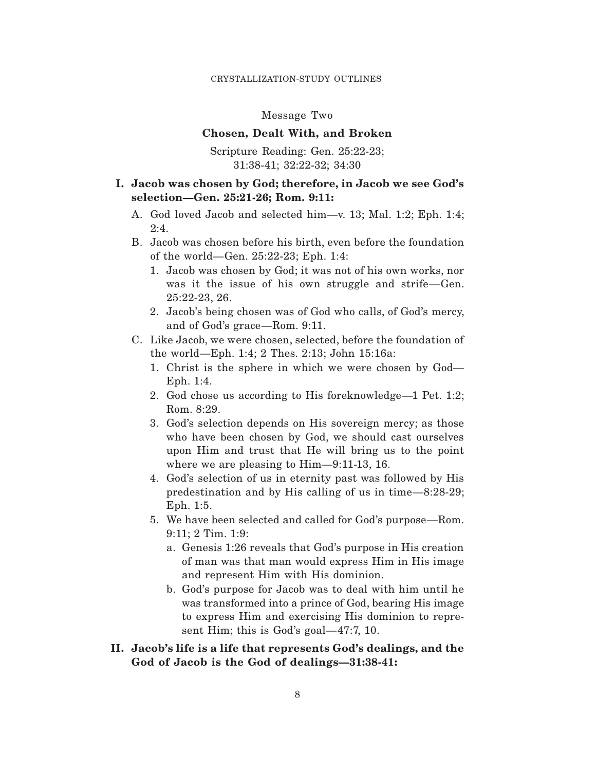### Message Two

#### **Chosen, Dealt With, and Broken**

Scripture Reading: Gen. 25:22-23; 31:38-41; 32:22-32; 34:30

## **I. Jacob was chosen by God; therefore, in Jacob we see God's selection—Gen. 25:21-26; Rom. 9:11:**

- A. God loved Jacob and selected him—v. 13; Mal. 1:2; Eph. 1:4; 2:4.
- B. Jacob was chosen before his birth, even before the foundation of the world—Gen. 25:22-23; Eph. 1:4:
	- 1. Jacob was chosen by God; it was not of his own works, nor was it the issue of his own struggle and strife—Gen. 25:22-23, 26.
	- 2. Jacob's being chosen was of God who calls, of God's mercy, and of God's grace—Rom. 9:11.
- C. Like Jacob, we were chosen, selected, before the foundation of the world—Eph. 1:4; 2 Thes. 2:13; John 15:16a:
	- 1. Christ is the sphere in which we were chosen by God— Eph. 1:4.
	- 2. God chose us according to His foreknowledge—1 Pet. 1:2; Rom. 8:29.
	- 3. God's selection depends on His sovereign mercy; as those who have been chosen by God, we should cast ourselves upon Him and trust that He will bring us to the point where we are pleasing to Him—9:11-13, 16.
	- 4. God's selection of us in eternity past was followed by His predestination and by His calling of us in time—8:28-29; Eph. 1:5.
	- 5. We have been selected and called for God's purpose—Rom. 9:11; 2 Tim. 1:9:
		- a. Genesis 1:26 reveals that God's purpose in His creation of man was that man would express Him in His image and represent Him with His dominion.
		- b. God's purpose for Jacob was to deal with him until he was transformed into a prince of God, bearing His image to express Him and exercising His dominion to represent Him; this is God's goal—47:7, 10.
- **II. Jacob's life is a life that represents God's dealings, and the God of Jacob is the God of dealings—31:38-41:**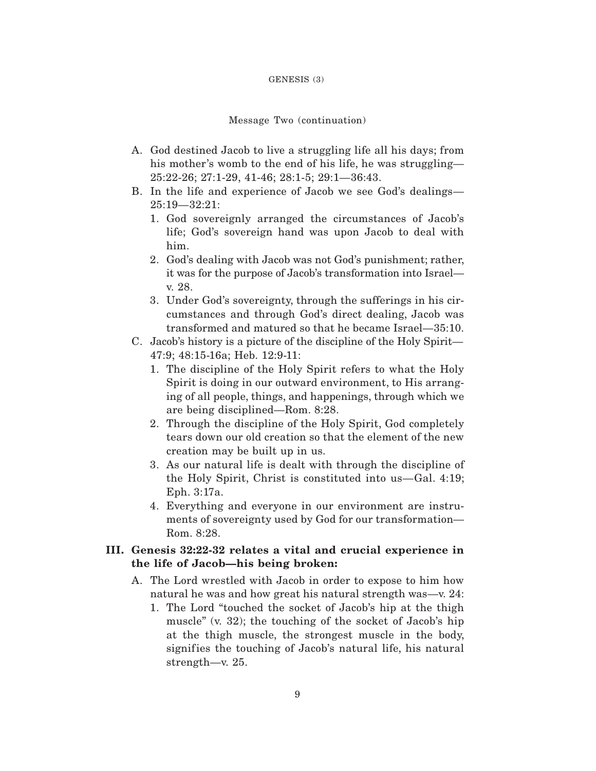#### GENESIS (3)

## Message Two (continuation)

- A. God destined Jacob to live a struggling life all his days; from his mother's womb to the end of his life, he was struggling— 25:22-26; 27:1-29, 41-46; 28:1-5; 29:1—36:43.
- B. In the life and experience of Jacob we see God's dealings— 25:19—32:21:
	- 1. God sovereignly arranged the circumstances of Jacob's life; God's sovereign hand was upon Jacob to deal with him.
	- 2. God's dealing with Jacob was not God's punishment; rather, it was for the purpose of Jacob's transformation into Israel v. 28.
	- 3. Under God's sovereignty, through the sufferings in his circumstances and through God's direct dealing, Jacob was transformed and matured so that he became Israel—35:10.
- C. Jacob's history is a picture of the discipline of the Holy Spirit— 47:9; 48:15-16a; Heb. 12:9-11:
	- 1. The discipline of the Holy Spirit refers to what the Holy Spirit is doing in our outward environment, to His arranging of all people, things, and happenings, through which we are being disciplined—Rom. 8:28.
	- 2. Through the discipline of the Holy Spirit, God completely tears down our old creation so that the element of the new creation may be built up in us.
	- 3. As our natural life is dealt with through the discipline of the Holy Spirit, Christ is constituted into us—Gal. 4:19; Eph. 3:17a.
	- 4. Everything and everyone in our environment are instruments of sovereignty used by God for our transformation— Rom. 8:28.

# **III. Genesis 32:22-32 relates a vital and crucial experience in the life of Jacob—his being broken:**

- A. The Lord wrestled with Jacob in order to expose to him how natural he was and how great his natural strength was—v. 24:
	- 1. The Lord "touched the socket of Jacob's hip at the thigh muscle" (v. 32); the touching of the socket of Jacob's hip at the thigh muscle, the strongest muscle in the body, signifies the touching of Jacob's natural life, his natural strength—v. 25.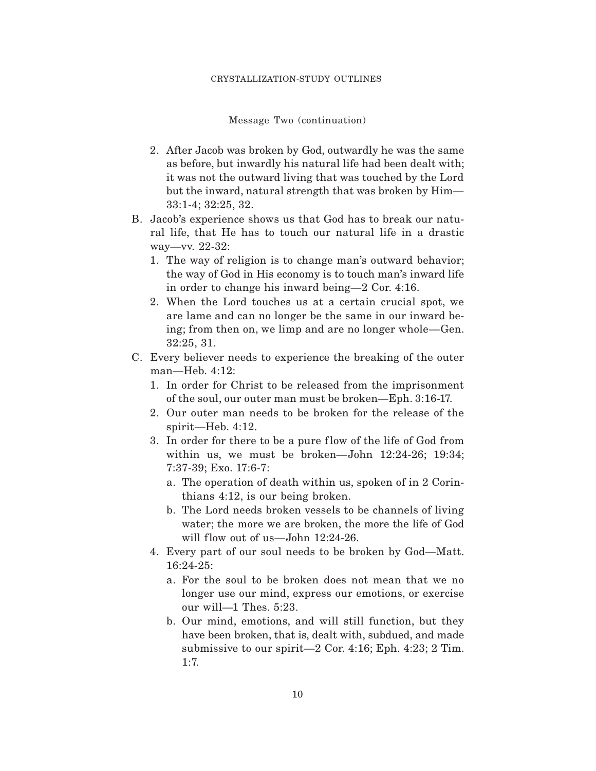Message Two (continuation)

- 2. After Jacob was broken by God, outwardly he was the same as before, but inwardly his natural life had been dealt with; it was not the outward living that was touched by the Lord but the inward, natural strength that was broken by Him— 33:1-4; 32:25, 32.
- B. Jacob's experience shows us that God has to break our natural life, that He has to touch our natural life in a drastic way—vv. 22-32:
	- 1. The way of religion is to change man's outward behavior; the way of God in His economy is to touch man's inward life in order to change his inward being—2 Cor. 4:16.
	- 2. When the Lord touches us at a certain crucial spot, we are lame and can no longer be the same in our inward being; from then on, we limp and are no longer whole—Gen. 32:25, 31.
- C. Every believer needs to experience the breaking of the outer man—Heb. 4:12:
	- 1. In order for Christ to be released from the imprisonment of the soul, our outer man must be broken—Eph. 3:16-17.
	- 2. Our outer man needs to be broken for the release of the spirit—Heb. 4:12.
	- 3. In order for there to be a pure f low of the life of God from within us, we must be broken—John 12:24-26; 19:34; 7:37-39; Exo. 17:6-7:
		- a. The operation of death within us, spoken of in 2 Corinthians 4:12, is our being broken.
		- b. The Lord needs broken vessels to be channels of living water; the more we are broken, the more the life of God will flow out of us—John  $12:24-26$ .
	- 4. Every part of our soul needs to be broken by God—Matt. 16:24-25:
		- a. For the soul to be broken does not mean that we no longer use our mind, express our emotions, or exercise our will—1 Thes. 5:23.
		- b. Our mind, emotions, and will still function, but they have been broken, that is, dealt with, subdued, and made submissive to our spirit—2 Cor. 4:16; Eph. 4:23; 2 Tim. 1:7.